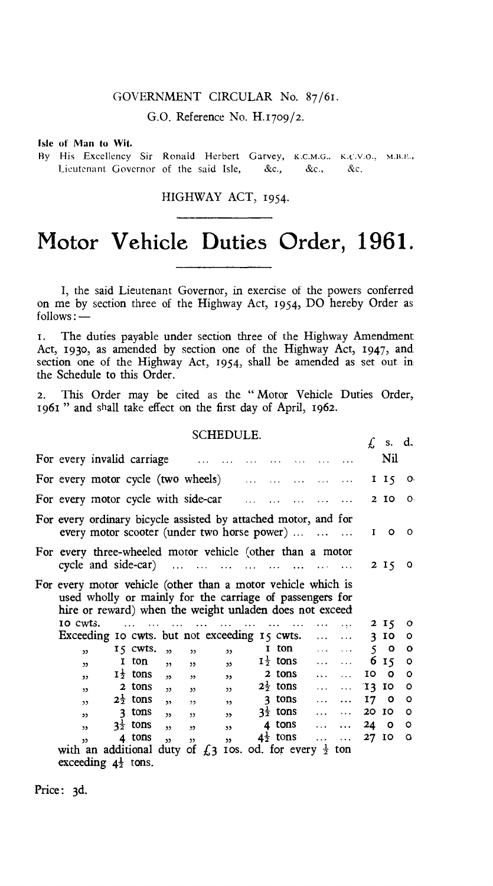## GOVERNMENT CIRCULAR No. 87/61.

G.O. Reference No. H.1709/2.

Isle of Man to Wit.

By His Excellency Sir Ronald Herbert Garvey, K.C.M.G., K.C.V.O., M.B.E., Lieutenant. Governor of the said Isle, &c., &c., &c.

HIGHWAY ACT, 1954.

## **Motor Vehicle Duties Order, 1961.**

I, the said Lieutenant Governor, in exercise of the powers conferred on me by section three of the Highway Act, 1954, DO hereby Order as follows:-

I. The duties payable under section three of the Highway Amendment Act, 1930, as amended by section one of the Highway Act, 1947, and section one of the Highway Act, 1954, shall be amended as set out in the Schedule to this Order.

2. This Order may be cited as the " Motor Vehicle Duties Order, 1961 " and shall take effect on the first day of April, 1962.

## SCHEDULE.

| SCHEDULE. |                                                                                                                                                                                     |  |                     |                         |                          |                         |              |   |                     |           |           | ſ, | s. d.   |    |
|-----------|-------------------------------------------------------------------------------------------------------------------------------------------------------------------------------------|--|---------------------|-------------------------|--------------------------|-------------------------|--------------|---|---------------------|-----------|-----------|----|---------|----|
|           | For every invalid carriage                                                                                                                                                          |  |                     |                         |                          |                         |              |   |                     |           |           |    | Nil     |    |
|           | For every motor cycle (two wheels)                                                                                                                                                  |  |                     |                         |                          |                         |              |   |                     |           |           |    | I I5    | О. |
|           | For every motor cycle with side-car                                                                                                                                                 |  |                     |                         |                          |                         |              |   |                     |           |           | 2  | 10      | O. |
|           | For every ordinary bicycle assisted by attached motor, and for<br>every motor scooter (under two horse power)                                                                       |  |                     |                         |                          |                         |              |   |                     |           |           | I  | ٥       | o  |
|           | For every three-wheeled motor vehicle (other than a motor<br>cycle and side-car)                                                                                                    |  |                     |                         |                          |                         |              |   |                     |           |           |    | 2 15    | o  |
|           | For every motor vehicle (other than a motor vehicle which is<br>used wholly or mainly for the carriage of passengers for<br>hire or reward) when the weight unladen does not exceed |  |                     |                         |                          |                         |              |   |                     |           |           |    |         |    |
|           | 10 Cwts.                                                                                                                                                                            |  |                     |                         |                          |                         |              |   |                     |           |           |    | 2 I 5   | o  |
|           | Exceeding 10 cwts. but not exceeding 15 cwts.<br>$\cdots$                                                                                                                           |  |                     |                         |                          |                         |              |   |                     |           |           | 3. | 10      | ٥  |
|           | 55                                                                                                                                                                                  |  | IS CWIS.            | $\overline{\mathbf{z}}$ | $\mathbf{z}$             |                         | 55           | 1 | ton                 | 1.11      | $\cdots$  | 5  | $\circ$ | ٥  |
|           | 22                                                                                                                                                                                  |  | 1 ton               | $\overline{\mathbf{z}}$ | ,,                       | $\mathbf{v}$            |              |   | $I_2^{\perp}$ tons  |           | .         |    | 6 15    | ٥  |
|           | $\mathbf{v}$                                                                                                                                                                        |  | $1\frac{1}{2}$ tons | $\mathbf{z}$            | $\overline{\phantom{a}}$ | $\mathbf{v}$            |              |   | 2 tons              | $\sim$    | $\cdots$  | 10 | O       | ٥  |
|           | $\mathbf{v}$                                                                                                                                                                        |  | 2 tons              | $\overline{2}$          | 55                       |                         | $\mathbf{v}$ |   | $2\frac{1}{2}$ tons | $\cdots$  | $\ddotsc$ | T3 | 10      | ٥  |
|           | ,                                                                                                                                                                                   |  | $2\frac{1}{2}$ tons | $\overline{\mathbf{z}}$ | $\overline{\phantom{a}}$ |                         | , 3          |   | 3 tons              | $\ddotsc$ | $\cdots$  | 17 | о       | ۰  |
|           | 33                                                                                                                                                                                  |  | 3 tons              | $\overline{\mathbf{z}}$ | י נ                      | ,                       |              |   | $3\frac{1}{2}$ tons | $\cdots$  | $\cdots$  | 20 | 10      | ٥  |
|           | $\mathbf{v}$                                                                                                                                                                        |  | $3\frac{1}{2}$ tons | $\mathbf{v}$            | $\mathbf{z}$             | $\overline{\mathbf{z}}$ |              |   | 4 tons              | $\ddotsc$ | $\cdots$  | 24 | $\circ$ | ٥  |
|           | 55                                                                                                                                                                                  |  | 4 tons              | $\mathbf{z}$            | $\mathbf{z}$             | 55                      |              |   | $4\frac{1}{2}$ tons |           | $\cdots$  | 27 | 10      | O  |
|           | with an additional duty of $\int_{\mathbb{R}}$ a ros. od. for every $\frac{1}{2}$                                                                                                   |  |                     |                         |                          |                         |              |   |                     |           | ton       |    |         |    |

exceeding  $4\frac{1}{2}$  tons.

Price: 3d.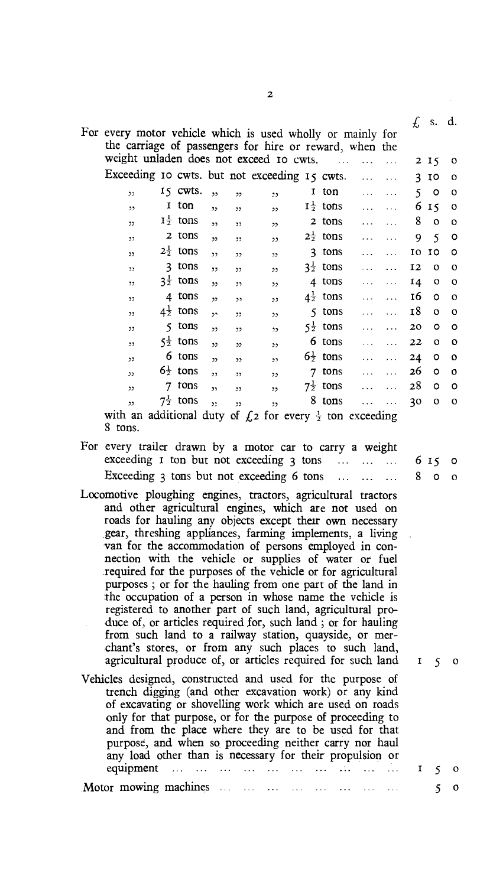|                                                                                                                       |                 |            |                          |                          |                          |                 |                        |   |   | £            | S <sub>1</sub> | d.       |
|-----------------------------------------------------------------------------------------------------------------------|-----------------|------------|--------------------------|--------------------------|--------------------------|-----------------|------------------------|---|---|--------------|----------------|----------|
| For every motor vehicle which is used wholly or mainly for<br>the carriage of passengers for hire or reward, when the |                 |            |                          |                          |                          |                 |                        |   |   |              |                |          |
| weight unladen does not exceed 10 cwts.                                                                               |                 |            |                          |                          |                          |                 |                        |   |   | $\mathbf{2}$ | 15             | o        |
| Exceeding 10 cwts. but not exceeding 15 cwts.                                                                         |                 |            |                          |                          |                          |                 |                        | . |   | 3            | 10             | $\circ$  |
| دد                                                                                                                    |                 | 15 cwts.   | ,                        | ,                        | $\ddot{\phantom{1}}$     | 1               | ton                    |   |   | 5            | o              | O        |
| $\mathbf{z}$                                                                                                          | 1               | ton        | $\overline{2}$           | ,,                       | $^{22}$                  |                 | $I^{\frac{1}{2}}$ tons |   | . | 6            | 15             | o        |
| 52                                                                                                                    |                 | $I_7$ tons | $\overline{\phantom{a}}$ | ,,                       | $\mathcal{D}$            |                 | 2 tons                 |   |   | 8            | $\circ$        | $\Omega$ |
| $\mathbf{v}$                                                                                                          |                 | 2 tons     | $\mathbf{v}$             | 33                       | دد                       |                 | $2\frac{1}{2}$ tons    |   | . | 9            | 5              | о        |
| $\mathcal{D}$                                                                                                         | $2\frac{1}{2}$  | tons       | ,                        | 22                       | $\mathbf{z}$             | 3.              | tons                   |   | . | 10           | 10             | O        |
| $\mathcal{D}$                                                                                                         | 3               | tons       | $\overline{1}$           | , 2, 3                   | 53                       |                 | $3\frac{1}{2}$ tons    |   |   | 12           | $\Omega$       | $\circ$  |
| $\mathbf{v}$                                                                                                          | $3\frac{1}{2}$  | tons       | ,,                       | ,                        | ,                        |                 | 4 tons                 |   | . | 14           | $\circ$        | $\circ$  |
| $\mathbf{v}$                                                                                                          | 4               | tons       | $\mathbf{v}$             | $\mathbf{v}$             | 55                       | $4\frac{1}{2}$  | tons                   |   |   | 16           | $\circ$        | $\circ$  |
| $\mathbf{z}$                                                                                                          | $4\frac{1}{2}$  | tons       | $\mathbf{A}$             | 33                       | $\mathbf{z}$             | 5.              | tons                   |   |   | 18           | $\Omega$       | $\Omega$ |
| ,,                                                                                                                    | ٢               | tons       | 55                       | $\overline{ }$           | $\overline{\phantom{a}}$ |                 | $5\frac{1}{2}$ tons    |   |   | 20           | o              | $\circ$  |
| $\mathcal{L}$                                                                                                         | $5\overline{2}$ | tons       | 52                       | 52                       | ,,                       |                 | 6 tons                 |   |   | 22           | $\circ$        | $\circ$  |
| 55                                                                                                                    |                 | 6 tons     | $\overline{1}$           | $\overline{\phantom{a}}$ | ,                        |                 | $6\frac{1}{2}$ tons    |   | . | 24           | o              | o        |
| $\mathcal{L}$                                                                                                         | $6\frac{1}{2}$  | tons       | $\overline{2}$           | $\mathbf{v}$             | ر د                      | 7               | tons                   |   |   | 26           | $\circ$        | O        |
| $\mathcal{L}$                                                                                                         |                 | tons       | $\mathbf{v}$             | 55                       | $\mathcal{L}$            | $7\overline{2}$ | tons                   |   |   | 28           | o              | o        |
| $\mathcal{L}$                                                                                                         | フキ              | tons       | $\ddot{ }$               | 33                       | ,                        | 8               | tons                   |   | . | 30           | $\circ$        | $\circ$  |

with an additional duty of  $f(z)$  for every  $\frac{1}{2}$  ton exceeding 8 tons.

- For every trailer drawn by a motor car to carry a weight exceeding  $\bar{x}$  ton but not exceeding  $\bar{y}$  tons  $\ldots$   $\ldots$  6 15 0 Exceeding 3 tons but not exceeding 6 tons  $\dots$   $\dots$   $\dots$  8 0 0
- Locomotive ploughing engines, tractors, agricultural tractors and other agricultural engines, which are not used on roads for hauling any objects except their own necessary gear, threshing appliances, farming implements, a living van for the accommodation of persons employed in connection with the vehicle or supplies of water or fuel required for the purposes of the vehicle or for agricultural purposes ; or for the hauling from one part of the land in the occupation of a person in whose name the vehicle is registered to another part of such land, agricultural produce of, or articles required for, such land ; or for hauling from such land to a railway station, quayside, or merchant's stores, or from any such places to such land, agricultural produce of, or articles required for such land  $I_{5}$  o
- Vehicles designed, constructed and used for the purpose of trench digging (and other excavation work) or any kind of excavating or shovelling work which are used on roads only for that purpose, or for the purpose of proceeding to and from the place where they are to be used for that purpose, and when so proceeding neither carry nor haul any load other than is necessary for their propulsion or equipment  $\cdots$   $\cdots$   $\cdots$   $\cdots$   $\cdots$   $\cdots$   $\cdots$   $\cdots$   $\cdots$   $\cdots$   $\cdots$   $\cdots$   $\cdots$   $\cdots$   $\cdots$   $\cdots$   $\cdots$   $\cdots$   $\cdots$   $\cdots$   $\cdots$   $\cdots$   $\cdots$   $\cdots$   $\cdots$   $\cdots$ Motor mowing machines ... ... ... ... ... ... ... ... 5 0

2